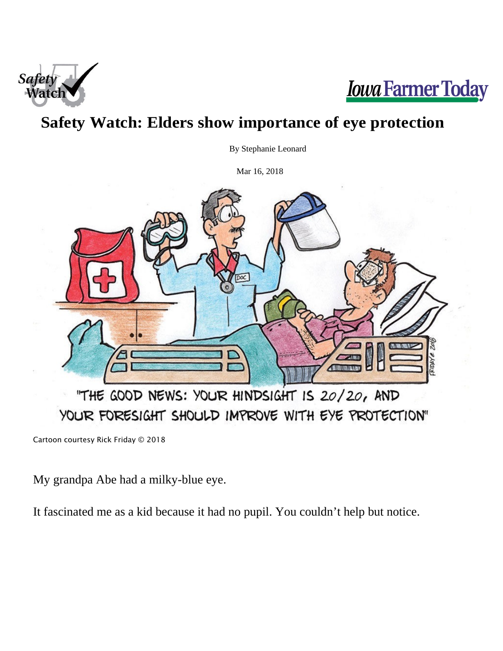



## **Safety Watch: Elders show importance of eye protection**

By Stephanie Leonard

Mar 16, 2018



Cartoon courtesy Rick Friday © 2018

My grandpa Abe had a milky-blue eye.

It fascinated me as a kid because it had no pupil. You couldn't help but notice.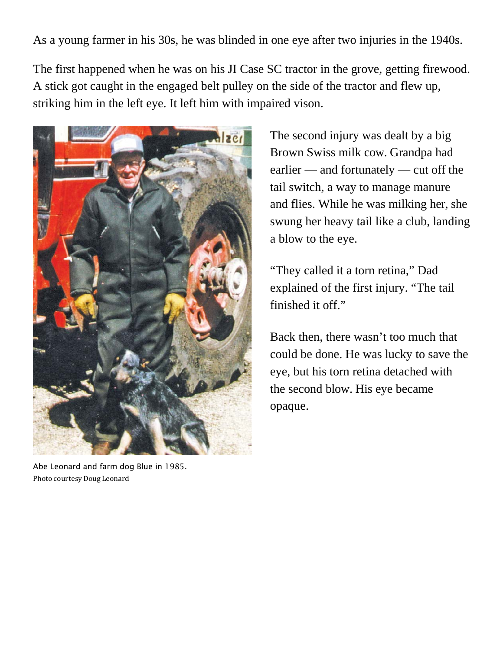As a young farmer in his 30s, he was blinded in one eye after two injuries in the 1940s.

The first happened when he was on his JI Case SC tractor in the grove, getting firewood. A stick got caught in the engaged belt pulley on the side of the tractor and flew up, striking him in the left eye. It left him with impaired vison.



Abe Leonard and farm dog Blue in 1985. Photo courtesy Doug Leonard

The second injury was dealt by a big Brown Swiss milk cow. Grandpa had earlier — and fortunately — cut off the tail switch, a way to manage manure and flies. While he was milking her, she swung her heavy tail like a club, landing a blow to the eye.

"They called it a torn retina," Dad explained of the first injury. "The tail finished it off."

Back then, there wasn't too much that could be done. He was lucky to save the eye, but his torn retina detached with the second blow. His eye became opaque.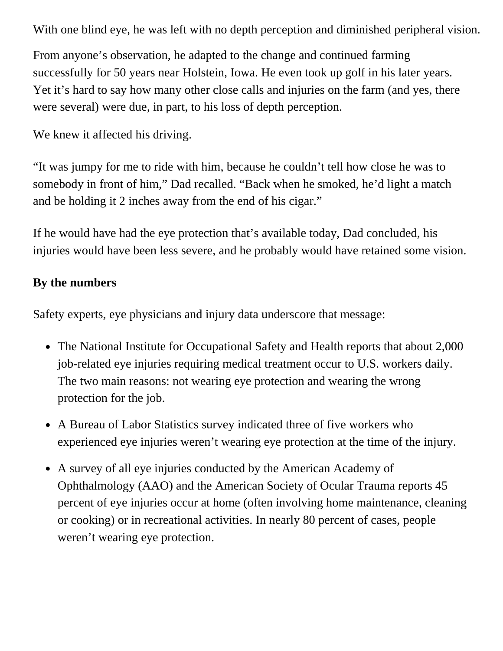With one blind eye, he was left with no depth perception and diminished peripheral vision.

From anyone's observation, he adapted to the change and continued farming successfully for 50 years near Holstein, Iowa. He even took up golf in his later years. Yet it's hard to say how many other close calls and injuries on the farm (and yes, there were several) were due, in part, to his loss of depth perception.

We knew it affected his driving.

"It was jumpy for me to ride with him, because he couldn't tell how close he was to somebody in front of him," Dad recalled. "Back when he smoked, he'd light a match and be holding it 2 inches away from the end of his cigar."

If he would have had the eye protection that's available today, Dad concluded, his injuries would have been less severe, and he probably would have retained some vision.

## **By the numbers**

Safety experts, eye physicians and injury data underscore that message:

- The National Institute for Occupational Safety and Health reports that about 2,000 job-related eye injuries requiring medical treatment occur to U.S. workers daily. The two main reasons: not wearing eye protection and wearing the wrong protection for the job.
- A Bureau of Labor Statistics survey indicated three of five workers who experienced eye injuries weren't wearing eye protection at the time of the injury.
- A survey of all eye injuries conducted by the American Academy of Ophthalmology (AAO) and the American Society of Ocular Trauma reports 45 percent of eye injuries occur at home (often involving home maintenance, cleaning or cooking) or in recreational activities. In nearly 80 percent of cases, people weren't wearing eye protection.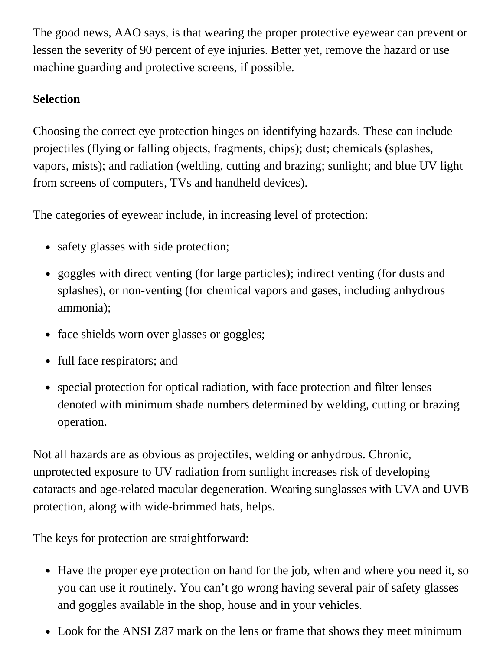The good news, AAO says, is that wearing the proper protective eyewear can prevent or lessen the severity of 90 percent of eye injuries. Better yet, remove the hazard or use machine guarding and protective screens, if possible.

## **Selection**

Choosing the correct eye protection hinges on identifying hazards. These can include projectiles (flying or falling objects, fragments, chips); dust; chemicals (splashes, vapors, mists); and radiation (welding, cutting and brazing; sunlight; and blue UV light from screens of computers, TVs and handheld devices).

The categories of eyewear include, in increasing level of protection:

- safety glasses with side protection;
- goggles with direct venting (for large particles); indirect venting (for dusts and splashes), or non-venting (for chemical vapors and gases, including anhydrous ammonia);
- face shields worn over glasses or goggles;
- full face respirators; and
- special protection for optical radiation, with face protection and filter lenses denoted with minimum shade numbers determined by welding, cutting or brazing operation.

Not all hazards are as obvious as projectiles, welding or anhydrous. Chronic, unprotected exposure to UV radiation from sunlight increases risk of developing cataracts and age-related macular degeneration. Wearing sunglasses with UVA and UVB protection, along with wide-brimmed hats, helps.

The keys for protection are straightforward:

- Have the proper eye protection on hand for the job, when and where you need it, so you can use it routinely. You can't go wrong having several pair of safety glasses and goggles available in the shop, house and in your vehicles.
- Look for the ANSI Z87 mark on the lens or frame that shows they meet minimum